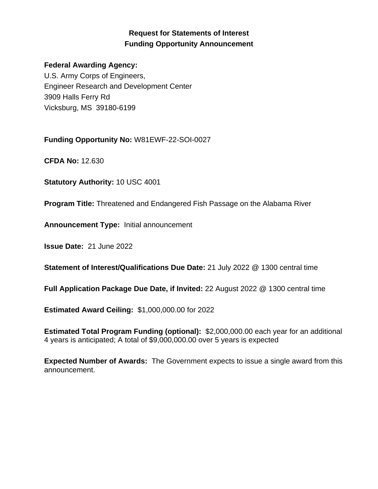# **Request for Statements of Interest Funding Opportunity Announcement**

#### **Federal Awarding Agency:**

U.S. Army Corps of Engineers, Engineer Research and Development Center 3909 Halls Ferry Rd Vicksburg, MS 39180-6199

**Funding Opportunity No:** W81EWF-22-SOI-0027

**CFDA No:** 12.630

**Statutory Authority:** 10 USC 4001

**Program Title:** Threatened and Endangered Fish Passage on the Alabama River

**Announcement Type:** Initial announcement

**Issue Date:** 21 June 2022

**Statement of Interest/Qualifications Due Date:** 21 July 2022 @ 1300 central time

**Full Application Package Due Date, if Invited:** 22 August 2022 @ 1300 central time

**Estimated Award Ceiling:** \$1,000,000.00 for 2022

**Estimated Total Program Funding (optional):** \$2,000,000.00 each year for an additional 4 years is anticipated; A total of \$9,000,000.00 over 5 years is expected

**Expected Number of Awards:** The Government expects to issue a single award from this announcement.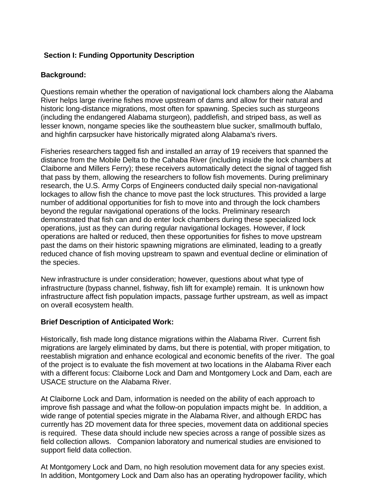## **Section I: Funding Opportunity Description**

## **Background:**

Questions remain whether the operation of navigational lock chambers along the Alabama River helps large riverine fishes move upstream of dams and allow for their natural and historic long-distance migrations, most often for spawning. Species such as sturgeons (including the endangered Alabama sturgeon), paddlefish, and striped bass, as well as lesser known, nongame species like the southeastern blue sucker, smallmouth buffalo, and highfin carpsucker have historically migrated along Alabama's rivers.

Fisheries researchers tagged fish and installed an array of 19 receivers that spanned the distance from the Mobile Delta to the Cahaba River (including inside the lock chambers at Claiborne and Millers Ferry); these receivers automatically detect the signal of tagged fish that pass by them, allowing the researchers to follow fish movements. During preliminary research, the U.S. Army Corps of Engineers conducted daily special non-navigational lockages to allow fish the chance to move past the lock structures. This provided a large number of additional opportunities for fish to move into and through the lock chambers beyond the regular navigational operations of the locks. Preliminary research demonstrated that fish can and do enter lock chambers during these specialized lock operations, just as they can during regular navigational lockages. However, if lock operations are halted or reduced, then these opportunities for fishes to move upstream past the dams on their historic spawning migrations are eliminated, leading to a greatly reduced chance of fish moving upstream to spawn and eventual decline or elimination of the species.

New infrastructure is under consideration; however, questions about what type of infrastructure (bypass channel, fishway, fish lift for example) remain. It is unknown how infrastructure affect fish population impacts, passage further upstream, as well as impact on overall ecosystem health.

#### **Brief Description of Anticipated Work:**

Historically, fish made long distance migrations within the Alabama River. Current fish migrations are largely eliminated by dams, but there is potential, with proper mitigation, to reestablish migration and enhance ecological and economic benefits of the river. The goal of the project is to evaluate the fish movement at two locations in the Alabama River each with a different focus: Claiborne Lock and Dam and Montgomery Lock and Dam, each are USACE structure on the Alabama River.

At Claiborne Lock and Dam, information is needed on the ability of each approach to improve fish passage and what the follow-on population impacts might be. In addition, a wide range of potential species migrate in the Alabama River, and although ERDC has currently has 2D movement data for three species, movement data on additional species is required. These data should include new species across a range of possible sizes as field collection allows. Companion laboratory and numerical studies are envisioned to support field data collection.

At Montgomery Lock and Dam, no high resolution movement data for any species exist. In addition, Montgomery Lock and Dam also has an operating hydropower facility, which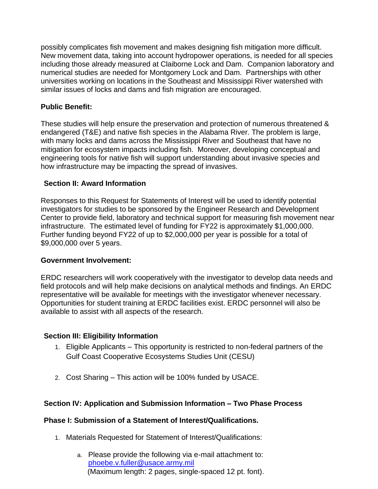possibly complicates fish movement and makes designing fish mitigation more difficult. New movement data, taking into account hydropower operations, is needed for all species including those already measured at Claiborne Lock and Dam. Companion laboratory and numerical studies are needed for Montgomery Lock and Dam. Partnerships with other universities working on locations in the Southeast and Mississippi River watershed with similar issues of locks and dams and fish migration are encouraged.

## **Public Benefit:**

These studies will help ensure the preservation and protection of numerous threatened & endangered (T&E) and native fish species in the Alabama River. The problem is large, with many locks and dams across the Mississippi River and Southeast that have no mitigation for ecosystem impacts including fish. Moreover, developing conceptual and engineering tools for native fish will support understanding about invasive species and how infrastructure may be impacting the spread of invasives.

#### **Section II: Award Information**

Responses to this Request for Statements of Interest will be used to identify potential investigators for studies to be sponsored by the Engineer Research and Development Center to provide field, laboratory and technical support for measuring fish movement near infrastructure. The estimated level of funding for FY22 is approximately \$1,000,000. Further funding beyond FY22 of up to \$2,000,000 per year is possible for a total of \$9,000,000 over 5 years.

#### **Government Involvement:**

ERDC researchers will work cooperatively with the investigator to develop data needs and field protocols and will help make decisions on analytical methods and findings. An ERDC representative will be available for meetings with the investigator whenever necessary. Opportunities for student training at ERDC facilities exist. ERDC personnel will also be available to assist with all aspects of the research.

#### **Section III: Eligibility Information**

- 1. Eligible Applicants This opportunity is restricted to non-federal partners of the Gulf Coast Cooperative Ecosystems Studies Unit (CESU)
- 2. Cost Sharing This action will be 100% funded by USACE.

#### **Section IV: Application and Submission Information – Two Phase Process**

#### **Phase I: Submission of a Statement of Interest/Qualifications.**

- 1. Materials Requested for Statement of Interest/Qualifications:
	- a. Please provide the following via e-mail attachment to: [phoebe.v.fuller@usace.army.mil](mailto:phoebe.v.fuller@usace.army.mil) (Maximum length: 2 pages, single-spaced 12 pt. font).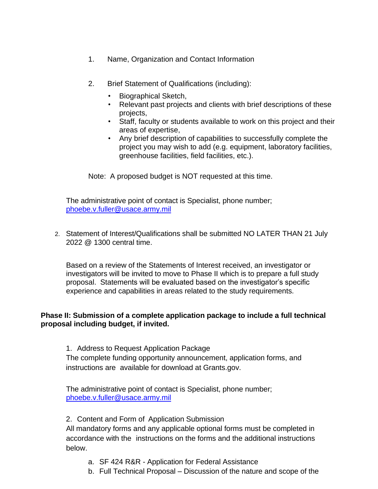- 1. Name, Organization and Contact Information
- 2. Brief Statement of Qualifications (including):
	- Biographical Sketch,
	- Relevant past projects and clients with brief descriptions of these projects,
	- Staff, faculty or students available to work on this project and their areas of expertise,
	- Any brief description of capabilities to successfully complete the project you may wish to add (e.g. equipment, laboratory facilities, greenhouse facilities, field facilities, etc.).

Note: A proposed budget is NOT requested at this time.

The administrative point of contact is Specialist, phone number; [phoebe.v.fuller@usace.army.mil](mailto:phoebe.v.fuller@usace.army.mil)

2. Statement of Interest/Qualifications shall be submitted NO LATER THAN 21 July 2022 @ 1300 central time.

Based on a review of the Statements of Interest received, an investigator or investigators will be invited to move to Phase II which is to prepare a full study proposal. Statements will be evaluated based on the investigator's specific experience and capabilities in areas related to the study requirements.

### **Phase II: Submission of a complete application package to include a full technical proposal including budget, if invited.**

1. Address to Request Application Package The complete funding opportunity announcement, application forms, and instructions are available for download at Grants.gov.

The administrative point of contact is Specialist, phone number; [phoebe.v.fuller@usace.army.mil](mailto:phoebe.v.fuller@usace.army.mil)

## 2. Content and Form of Application Submission

All mandatory forms and any applicable optional forms must be completed in accordance with the instructions on the forms and the additional instructions below.

- a. SF 424 R&R Application for Federal Assistance
- b. Full Technical Proposal Discussion of the nature and scope of the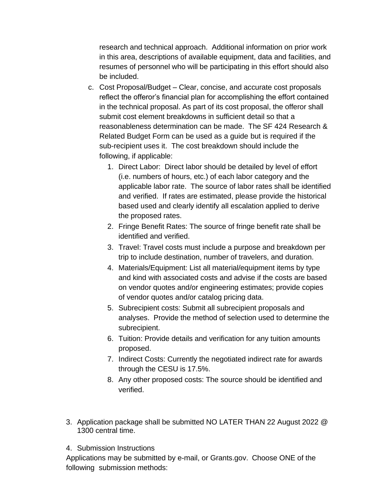research and technical approach. Additional information on prior work in this area, descriptions of available equipment, data and facilities, and resumes of personnel who will be participating in this effort should also be included.

- c. Cost Proposal/Budget Clear, concise, and accurate cost proposals reflect the offeror's financial plan for accomplishing the effort contained in the technical proposal. As part of its cost proposal, the offeror shall submit cost element breakdowns in sufficient detail so that a reasonableness determination can be made. The SF 424 Research & Related Budget Form can be used as a guide but is required if the sub-recipient uses it. The cost breakdown should include the following, if applicable:
	- 1. Direct Labor: Direct labor should be detailed by level of effort (i.e. numbers of hours, etc.) of each labor category and the applicable labor rate. The source of labor rates shall be identified and verified. If rates are estimated, please provide the historical based used and clearly identify all escalation applied to derive the proposed rates.
	- 2. Fringe Benefit Rates: The source of fringe benefit rate shall be identified and verified.
	- 3. Travel: Travel costs must include a purpose and breakdown per trip to include destination, number of travelers, and duration.
	- 4. Materials/Equipment: List all material/equipment items by type and kind with associated costs and advise if the costs are based on vendor quotes and/or engineering estimates; provide copies of vendor quotes and/or catalog pricing data.
	- 5. Subrecipient costs: Submit all subrecipient proposals and analyses. Provide the method of selection used to determine the subrecipient.
	- 6. Tuition: Provide details and verification for any tuition amounts proposed.
	- 7. Indirect Costs: Currently the negotiated indirect rate for awards through the CESU is 17.5%.
	- 8. Any other proposed costs: The source should be identified and verified.
- 3. Application package shall be submitted NO LATER THAN 22 August 2022 @ 1300 central time.
- 4. Submission Instructions

Applications may be submitted by e-mail, or Grants.gov. Choose ONE of the following submission methods: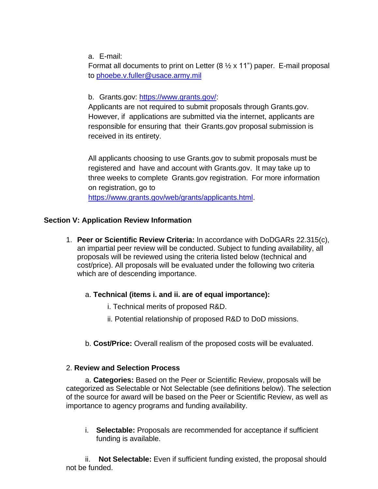a. E-mail:

Format all documents to print on Letter  $(8 \times x 11)$  paper. E-mail proposal to [phoebe.v.fuller@usace.army.mil](mailto:phoebe.v.fuller@usace.army.mil)

### b. Grants.gov: [https://www.grants.gov/:](https://www.grants.gov/)

Applicants are not required to submit proposals through Grants.gov. However, if applications are submitted via the internet, applicants are responsible for ensuring that their Grants.gov proposal submission is received in its entirety.

All applicants choosing to use Grants.gov to submit proposals must be registered and have and account with Grants.gov. It may take up to three weeks to complete Grants.gov registration. For more information on registration, go to

[https://www.grants.gov/web/grants/applicants.html.](https://www.grants.gov/web/grants/applicants.html)

### **Section V: Application Review Information**

1. **Peer or Scientific Review Criteria:** In accordance with DoDGARs 22.315(c), an impartial peer review will be conducted. Subject to funding availability, all proposals will be reviewed using the criteria listed below (technical and cost/price). All proposals will be evaluated under the following two criteria which are of descending importance.

## a. **Technical (items i. and ii. are of equal importance):**

- i. Technical merits of proposed R&D.
- ii. Potential relationship of proposed R&D to DoD missions.
- b. **Cost/Price:** Overall realism of the proposed costs will be evaluated.

#### 2. **Review and Selection Process**

a. **Categories:** Based on the Peer or Scientific Review, proposals will be categorized as Selectable or Not Selectable (see definitions below). The selection of the source for award will be based on the Peer or Scientific Review, as well as importance to agency programs and funding availability.

i. **Selectable:** Proposals are recommended for acceptance if sufficient funding is available.

ii. **Not Selectable:** Even if sufficient funding existed, the proposal should not be funded.